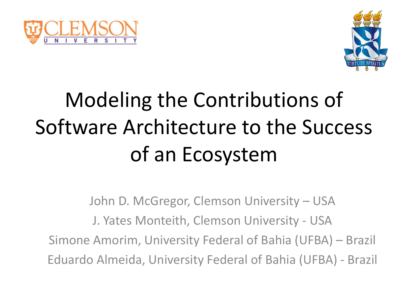



## Modeling the Contributions of Software Architecture to the Success of an Ecosystem

John D. McGregor, Clemson University – USA J. Yates Monteith, Clemson University - USA Simone Amorim, University Federal of Bahia (UFBA) – Brazil Eduardo Almeida, University Federal of Bahia (UFBA) - Brazil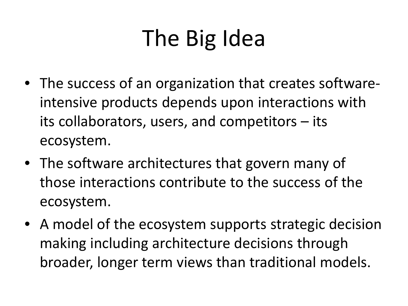## The Big Idea

- The success of an organization that creates softwareintensive products depends upon interactions with its collaborators, users, and competitors – its ecosystem.
- The software architectures that govern many of those interactions contribute to the success of the ecosystem.
- A model of the ecosystem supports strategic decision making including architecture decisions through broader, longer term views than traditional models.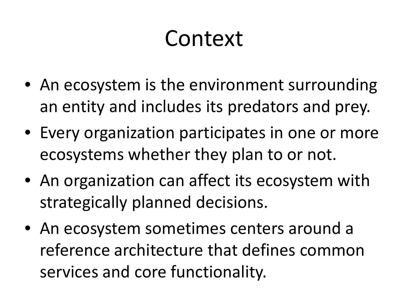#### Context

- An ecosystem is the environment surrounding an entity and includes its predators and prey.
- Every organization participates in one or more ecosystems whether they plan to or not.
- An organization can affect its ecosystem with strategically planned decisions.
- An ecosystem sometimes centers around a reference architecture that defines common services and core functionality.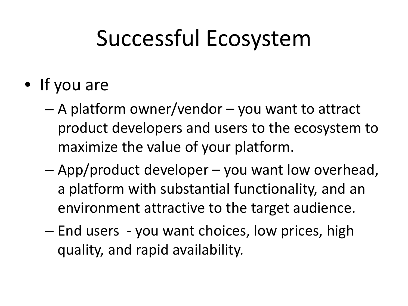#### Successful Ecosystem

- If you are
	- A platform owner/vendor you want to attract product developers and users to the ecosystem to maximize the value of your platform.
	- App/product developer you want low overhead, a platform with substantial functionality, and an environment attractive to the target audience.
	- End users you want choices, low prices, high quality, and rapid availability.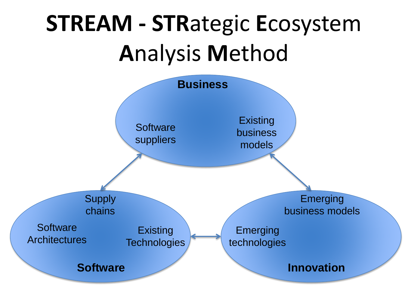## **STREAM - STR**ategic **E**cosystem **A**nalysis **M**ethod

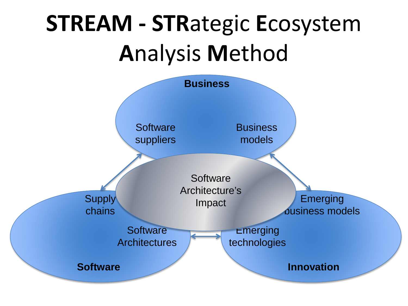## **STREAM - STR**ategic **E**cosystem **A**nalysis **M**ethod

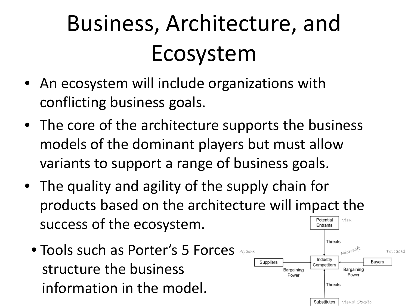# Business, Architecture, and Ecosystem

- An ecosystem will include organizations with conflicting business goals.
- The core of the architecture supports the business models of the dominant players but must allow variants to support a range of business goals.
- The quality and agility of the supply chain for products based on the architecture will impact the Potential Vísu success of the ecosystem. **Entrants** 
	- Tools such as Porter's 5 Forces structure the business information in the model.

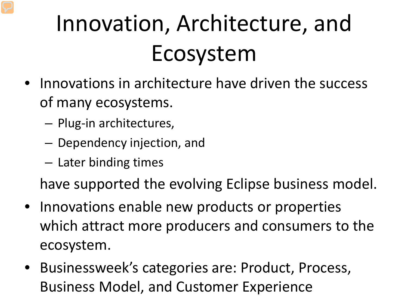## Innovation, Architecture, and Ecosystem

- Innovations in architecture have driven the success of many ecosystems.
	- Plug-in architectures,
	- Dependency injection, and
	- Later binding times

have supported the evolving Eclipse business model.

- Innovations enable new products or properties which attract more producers and consumers to the ecosystem.
- Businessweek's categories are: Product, Process, Business Model, and Customer Experience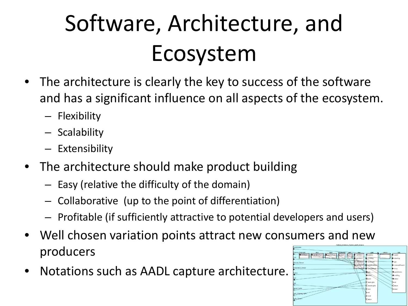# Software, Architecture, and Ecosystem

- The architecture is clearly the key to success of the software and has a significant influence on all aspects of the ecosystem.
	- Flexibility
	- Scalability
	- Extensibility
- The architecture should make product building
	- Easy (relative the difficulty of the domain)
	- Collaborative (up to the point of differentiation)
	- Profitable (if sufficiently attractive to potential developers and users)
- Well chosen variation points attract new consumers and new producers
- Notations such as AADL capture architecture.

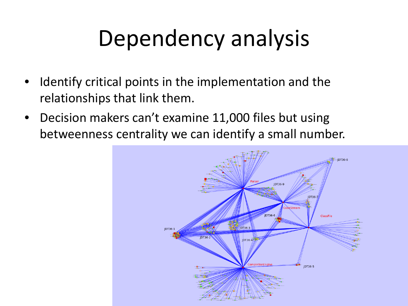## Dependency analysis

- Identify critical points in the implementation and the relationships that link them.
- Decision makers can't examine 11,000 files but using betweenness centrality we can identify a small number.

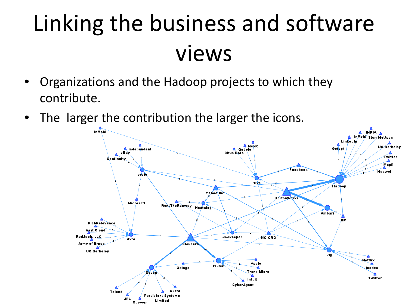## Linking the business and software views

- Organizations and the Hadoop projects to which they contribute.
- The larger the contribution the larger the icons.

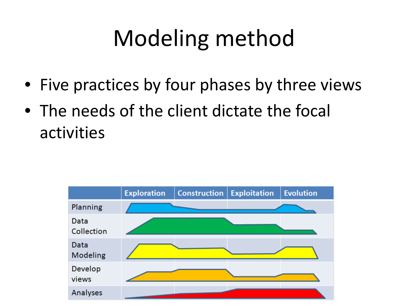### Modeling method

- Five practices by four phases by three views
- The needs of the client dictate the focal activities

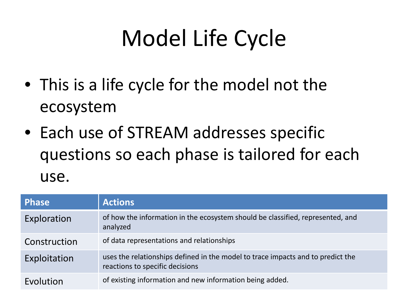## Model Life Cycle

- This is a life cycle for the model not the ecosystem
- Each use of STREAM addresses specific questions so each phase is tailored for each use.

| <b>Phase</b> | <b>Actions</b>                                                                                                     |
|--------------|--------------------------------------------------------------------------------------------------------------------|
| Exploration  | of how the information in the ecosystem should be classified, represented, and<br>analyzed                         |
| Construction | of data representations and relationships                                                                          |
| Exploitation | uses the relationships defined in the model to trace impacts and to predict the<br>reactions to specific decisions |
| Evolution    | of existing information and new information being added.                                                           |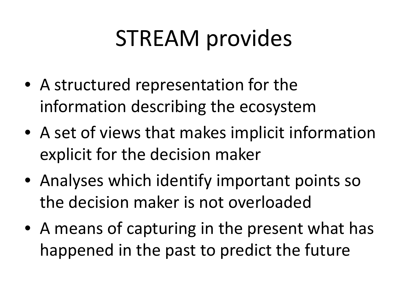#### STREAM provides

- A structured representation for the information describing the ecosystem
- A set of views that makes implicit information explicit for the decision maker
- Analyses which identify important points so the decision maker is not overloaded
- A means of capturing in the present what has happened in the past to predict the future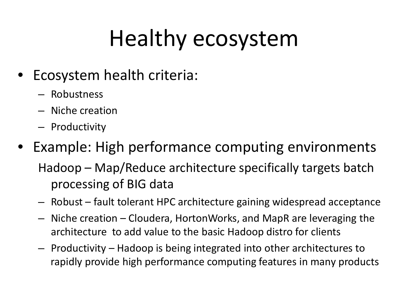### Healthy ecosystem

- Ecosystem health criteria:
	- Robustness
	- Niche creation
	- Productivity
- Example: High performance computing environments Hadoop – Map/Reduce architecture specifically targets batch processing of BIG data
	- Robust fault tolerant HPC architecture gaining widespread acceptance
	- Niche creation Cloudera, HortonWorks, and MapR are leveraging the architecture to add value to the basic Hadoop distro for clients
	- Productivity Hadoop is being integrated into other architectures to rapidly provide high performance computing features in many products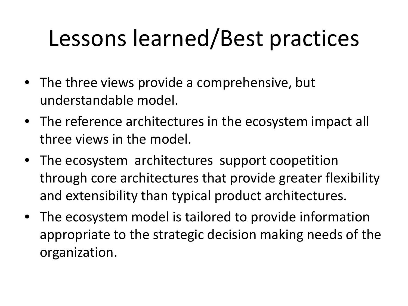#### Lessons learned/Best practices

- The three views provide a comprehensive, but understandable model.
- The reference architectures in the ecosystem impact all three views in the model.
- The ecosystem architectures support coopetition through core architectures that provide greater flexibility and extensibility than typical product architectures.
- The ecosystem model is tailored to provide information appropriate to the strategic decision making needs of the organization.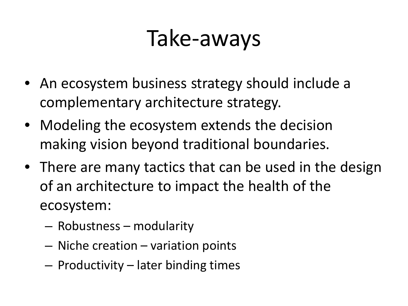#### Take-aways

- An ecosystem business strategy should include a complementary architecture strategy.
- Modeling the ecosystem extends the decision making vision beyond traditional boundaries.
- There are many tactics that can be used in the design of an architecture to impact the health of the ecosystem:
	- Robustness modularity
	- Niche creation variation points
	- Productivity later binding times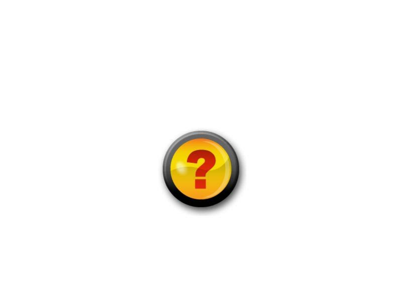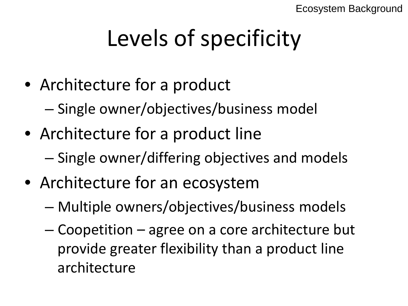## Levels of specificity

- Architecture for a product
	- Single owner/objectives/business model
- Architecture for a product line
	- Single owner/differing objectives and models
- Architecture for an ecosystem
	- Multiple owners/objectives/business models
	- Coopetition agree on a core architecture but provide greater flexibility than a product line architecture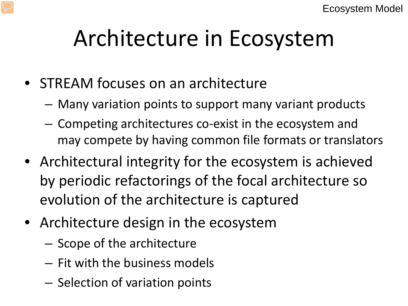#### Architecture in Ecosystem

- STREAM focuses on an architecture
	- Many variation points to support many variant products
	- Competing architectures co-exist in the ecosystem and may compete by having common file formats or translators
- Architectural integrity for the ecosystem is achieved by periodic refactorings of the focal architecture so evolution of the architecture is captured
- Architecture design in the ecosystem
	- Scope of the architecture
	- Fit with the business models
	- Selection of variation points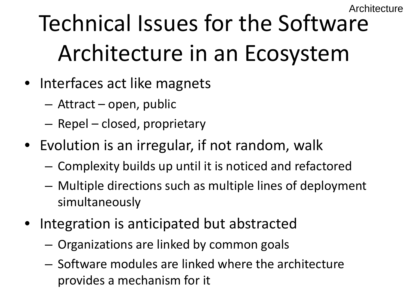Architecture

# Technical Issues for the Software Architecture in an Ecosystem

- Interfaces act like magnets
	- Attract open, public
	- Repel closed, proprietary
- Evolution is an irregular, if not random, walk
	- Complexity builds up until it is noticed and refactored
	- Multiple directions such as multiple lines of deployment simultaneously
- Integration is anticipated but abstracted
	- Organizations are linked by common goals
	- Software modules are linked where the architecture provides a mechanism for it